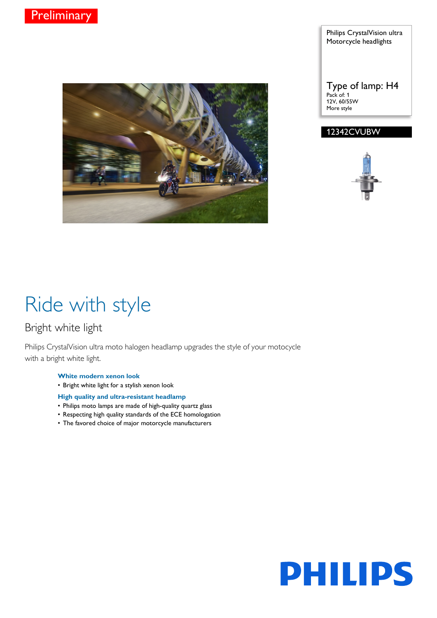

#### Philips CrystalVision ultra Motorcycle headlights

Type of lamp: H4 Pack of: 1 12V, 60/55W More style

### 12342CVUBW



# Ride with style

### Bright white light

Philips CrystalVision ultra moto halogen headlamp upgrades the style of your motocycle with a bright white light.

#### **White modern xenon look**

- Bright white light for a stylish xenon look
- **High quality and ultra-resistant headlamp**
- Philips moto lamps are made of high-quality quartz glass
- Respecting high quality standards of the ECE homologation
- The favored choice of major motorcycle manufacturers